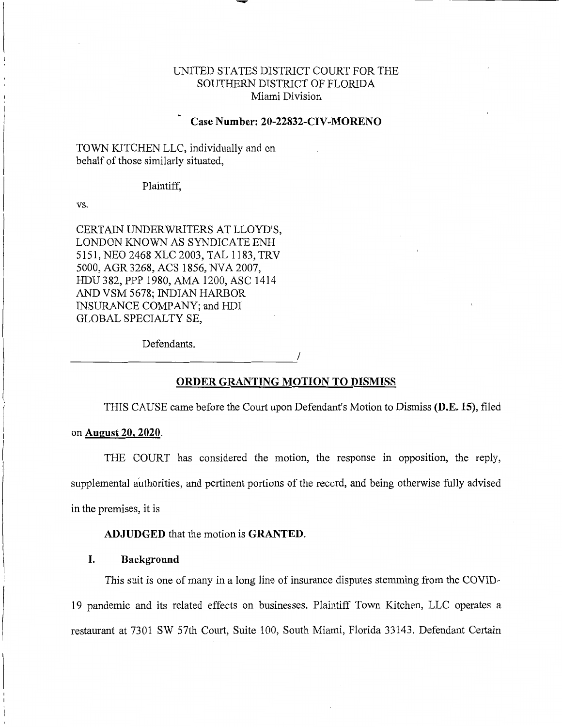# UNITED STATES DISTRICT COURT FOR THE SOUTHERN DISTRICT OF FLORIDA Miami Division

# **Case Number: 20-22832-CIV-MORENO**

TOWN KITCHEN LLC, individually and on behalf of those similarly situated,

#### Plaintiff,

vs.

CERTAIN UNDERWRITERS AT LLOYD'S, LONDON KNOWN AS SYNDICATE ENH 5151, NEO 2468 XLC 2003, TAL 1183, TRV 5000, AGR 3268, ACS 1856, NV A 2007, HDU 382, PPP 1980, AMA 1200, ASC 1414 AND VSM 5678; INDIAN HARBOR INSURANCE COMPANY; and HDI GLOBAL SPECIALTY SE,

Defendants. Defendants.

#### **ORDER GRANTING MOTION TO DISMISS**

THIS CAUSE came before the Court upon Defendant's Motion to Dismiss **(D.E. 15),** filed

#### on **August 20, 2020.**

THE COURT has considered the motion, the response in opposition, the reply, supplemental authorities, and pertinent portions of the record, and being otherwise fully advised in the premises, it is

**ADJUDGED** that the motion is **GRANTED.** 

#### **I. Background**

This suit is one of many in a long line of insurance disputes stemming from the COVID-19 pandemic and its related effects on businesses. Plaintiff Town Kitchen, LLC operates a restaurant at 7301 SW 57th Court, Suite 100, South Miami, Florida 33143. Defendant Certain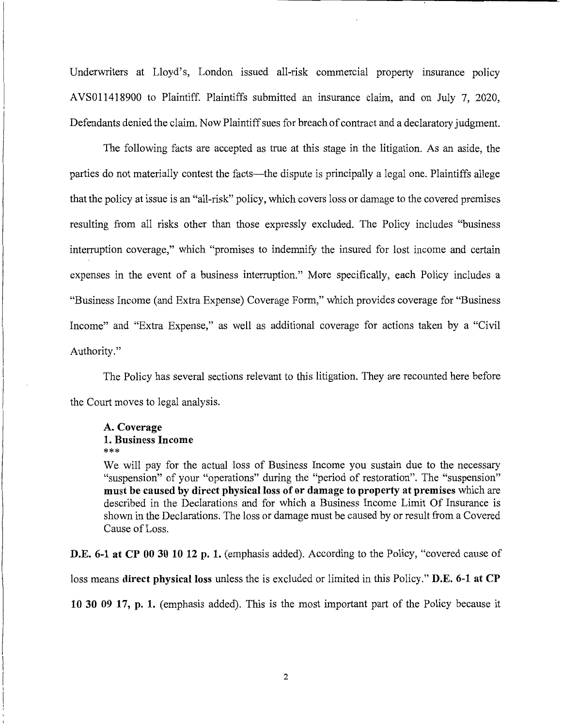Underwriters at Lloyd's, London issued all-risk commercial property insurance policy AVS011418900 to Plaintiff. Plaintiffs submitted an insurance claim, and on July 7, 2020, Defendants denied the claim. Now Plaintiff sues for breach of contract and a declaratory judgment.

The following facts are accepted as true at this stage in the litigation. As an aside, the parties do not materially contest the facts—the dispute is principally a legal one. Plaintiffs allege that the policy at issue is an "all-risk" policy, which covers loss or damage to the covered premises resulting from all risks other than those expressly excluded. The Policy includes "business interruption coverage," which "promises to indemnify the insured for lost income and certain expenses in the event of a business interruption." More specifically, each Policy includes a "Business Income (and Extra Expense) Coverage Form," which provides coverage for "Business Income" and "Extra Expense," as well as additional coverage for actions taken by a "Civil Authority."

The Policy has several sections relevant to this litigation. They are recounted here before the Court moves to legal analysis.

# **A. Coverage 1. Business Income**  \*\*\*

We will pay for the actual loss of Business Income you sustain due to the necessary "suspension" of your "operations" during the "period of restoration". The "suspension" **must be caused by direct physical loss of or damage to property at premises** which are described in the Declarations and for which a Business Income Limit Of Insurance is shown in the Declarations. The loss or damage must be caused by or result from a Covered Cause of Loss.

**D.E. 6-1 at CP 00 30 10 12 p. 1.** (emphasis added). According to the Policy, "covered cause of loss means **direct physical loss** unless the is excluded or limited in this Policy." **D.E. 6-1 at CP 10 30 09 17, p. 1.** ( emphasis added). This is the most important part of the Policy because it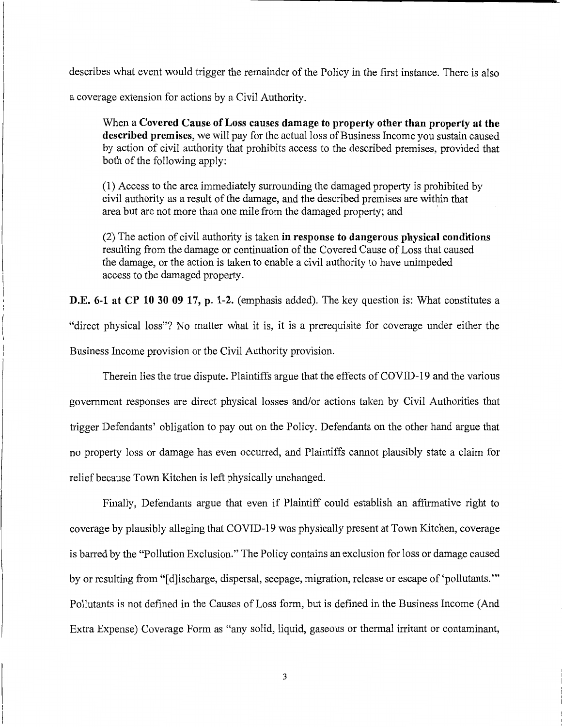describes what event would trigger the remainder of the Policy in the first instance. There is also

a coverage extension for actions by a Civil Authority.

When a **Covered Cause of Loss causes damage to property other than property at the described premises,** we will pay for the actual loss of Business Income you sustain caused by action of civil authority that prohibits access to the described premises, provided that both of the following apply:

(1) Access to the area immediately surrounding the damaged property is prohibited by civil authority as a result of the damage, and the described premises are within that area but are not more than one mile from the damaged property; and

(2) The action of civil authority is taken **in response to dangerous physical conditions**  resulting from the damage or continuation of the Covered Cause of Loss that caused the damage, or the action is taken to enable a civil authority to have unimpeded access to the damaged property.

**D.E. 6-1 at CP 10 30 09 17, p. 1-2.** (emphasis added). The key question is: What constitutes a "direct physical loss"? No matter what it is, it is a prerequisite for coverage under either the Business Income provision or the Civil Authority provision.

Therein lies the true dispute. Plaintiffs argue that the effects of COVID-19 and the various government responses are direct physical losses and/or actions taken by Civil Authorities that trigger Defendants' obligation to pay out on the Policy. Defendants on the other hand argue that no property loss or damage has even occurred, and Plaintiffs cannot plausibly state a claim for relief because Town Kitchen is left physically unchanged.

Finally, Defendants argue that even if Plaintiff could establish an affirmative right to coverage by plausibly alleging that COVID-19 was physically present at Town Kitchen, coverage is barred by the "Pollution Exclusion." The Policy contains an exclusion for loss or damage caused by or resulting from "[d]ischarge, dispersal, seepage, migration, release or escape of 'pollutants."' Pollutants is not defined in the Causes of Loss form, but is defined in the Business Income (And Extra Expense) Coverage Form as "any solid, liquid, gaseous or thermal irritant or contaminant,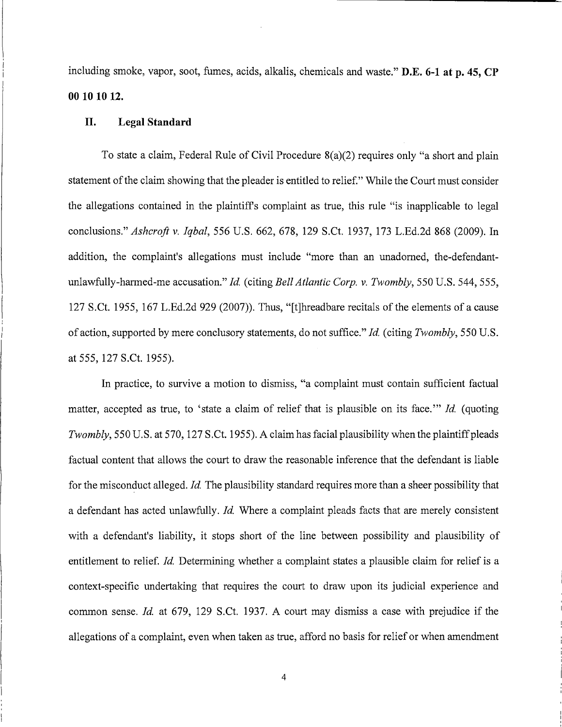including smoke, vapor, soot, fumes, acids, alkalis, chemicals and waste." **D.E. 6-1 at p. 45, CP 00 10 10 12.** 

## **II. Legal Standard**

To state a claim, Federal Rule of Civil Procedure 8(a)(2) requires only "a short and plain statement of the claim showing that the pleader is entitled to relief." While the Court must consider the allegations contained in the plaintiffs complaint as true, this rule "is inapplicable to legal conclusions." *Ashcroft v. Iqbal,* 556 U.S. 662, 678, 129 S.Ct. 1937, 173 L.Ed.2d 868 (2009). In addition, the complaint's allegations must include "more than an unadorned, the-defendantunlawfully-harmed-me accusation." *Id.* (citing *Bell Atlantic Corp. v. Twombly,* 550 U.S. 544,555, 127 S.Ct. 1955, 167 L.Ed.2d 929 (2007)). Thus, "[t]hreadbare recitals of the elements of a cause of action, supported by mere conclusory statements, do not suffice." *Id.* (citing *Twombly,* 550 U.S. at 555, 127 S.Ct. 1955).

In practice, to survive a motion to dismiss, "a complaint must contain sufficient factual matter, accepted as true, to 'state a claim of relief that is plausible on its face."' *Id.* (quoting *Twombly,* 550 U.S. at 570, 127 S.Ct. 1955). A claim has facial plausibility when the plaintiff pleads factual content that allows the court to draw the reasonable inference that the defendant is liable for the misconduct alleged. *Id.* The plausibility standard requires more than a sheer possibility that a defendant has acted unlawfully. *Id.* Where a complaint pleads facts that are merely consistent with a defendant's liability, it stops short of the line between possibility and plausibility of entitlement to relief. *Id.* Determining whether a complaint states a plausible claim for relief is a context-specific undertaking that requires the court to draw upon its judicial experience and common sense. *Id.* at 679, 129 S.Ct. 1937. A court may dismiss a case with prejudice if the allegations of a complaint, even when taken as true, afford no basis for relief or when amendment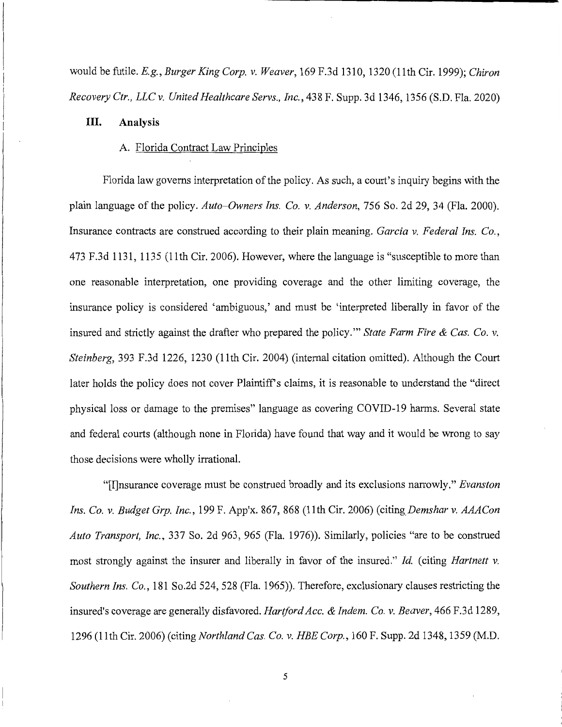would be futile. *E.g., Burger King Corp. v. Weaver,* 169F.3d1310, 1320 (11th Cir. 1999); *Chiron Recovery Ctr., LLC v. United Healthcare Servs., Inc.,* 438 F. Supp. 3d 1346, 1356 (S.D. Fla. 2020)

## **III. Analysis**

## A. Florida Contract Law Principles

Florida law governs interpretation of the policy. As such, a court's inquiry begins with the plain language of the policy. *Auto-Owners Ins. Co. v. Anderson,* 756 So. 2d 29, 34 (Fla. 2000). Insurance contracts are construed according to their plain meaning. *Garcia v. Federal Ins. Co.,*  473 F.3d 1131, 1135 (11th Cir. 2006). However, where the language is "susceptible to more than one reasonable interpretation, one providing coverage and the other limiting coverage, the insurance policy is considered 'ambiguous,' and must be 'interpreted liberally in favor of the insured and strictly against the drafter who prepared the policy."' *State Farm Fire & Cas. Co. v. Steinberg,* 393 F.3d 1226, 1230 (11th Cir. 2004) (internal citation omitted). Although the Court later holds the policy does not cover Plaintiff's claims, it is reasonable to understand the "direct" physical loss or damage to the premises" language as covering COVID-19 harms. Several state and federal courts (although none in Florida) have found that way and it would be wrong to say those decisions were wholly irrational.

"[I]nsurance coverage must be construed broadly and its exclusions narrowly." *Evanston Ins. Co. v. Budget Grp. Inc.,* 199 F. App'x. 867, 868 (11th Cir. 2006) *(citing\_Demshar v. AAACon Auto Transport, Inc.,* 337 So. 2d 963, 965 (Fla. 1976)). Similarly, policies "are to be construed most strongly against the insurer and liberally in favor of the insured." *Id.* ( citing *Hartnett v. Southern Ins. Co.,* 181 So.2d 524, 528 (Fla. 1965)). Therefore, exclusionary clauses restricting the insured's coverage are generally disfavored. *Hartford Acc. & Indem. Co. v. Beaver,* 466 F.3d 1289, 1296 (11th Cir. 2006)(citing *Northland Cas. Co. v. HEE Corp.,* 160 F. Supp. 2d 1348, 1359 (M.D.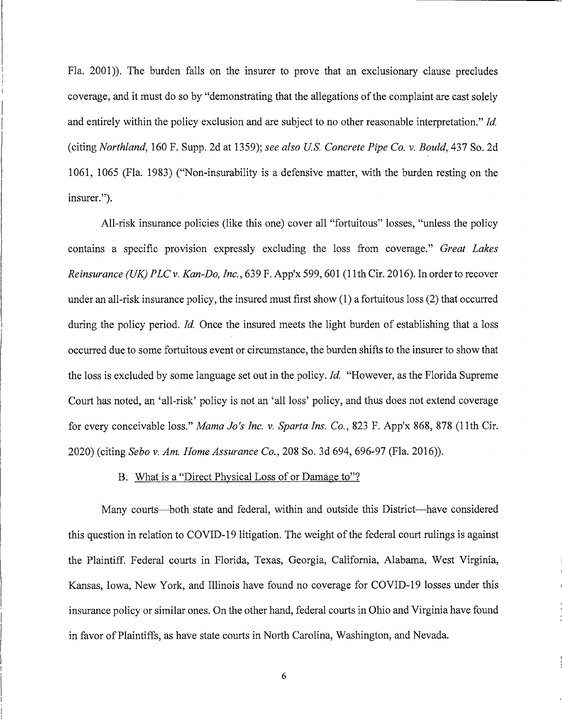Fla. 2001)). The burden falls on the insurer to prove that an exclusionary clause precludes coverage, and it must do so by "demonstrating that the allegations of the complaint are cast solely and entirely within the policy exclusion and are subject to no other reasonable interpretation." *Id.*  (citing *Northland,* 160 F. Supp. 2d at 1359); *see also US Concrete Pipe Co. v. Bould,* 437 So. 2d 1061, 1065 (Fla. 1983) ("Non-insurability is a defensive matter, with the burden resting on the insurer.").

All-risk insurance policies (like this one) cover all "fortuitous" losses, "unless the policy contains a specific provision expressly excluding the loss from coverage." *Great Lakes Reinsurance (UK) PLCv. Kan-Do, Inc.,* 639 F. App'x 599,601 (11th Cir. 2016). In order to recover under an all-risk insurance policy, the insured must first show (1) a fortuitous loss (2) that occurred during the policy period. *Id.* Once the insured meets the light burden of establishing that a loss occurred due to some fortuitous event or circumstance, the burden shifts to the insurer to show that the loss is excluded by some language set out in the policy. *Id.* "However, as the Florida Supreme Court has noted, an 'all-risk' policy is not an 'all loss' policy, and thus does not extend coverage for every conceivable loss." *Mama Jo's Inc. v. Sparta Ins. Co.,* 823 F. App'x 868, 878 (11th Cir. 2020) (citing *Sebo v. Am. Home Assurance Co.,* 208 So. 3d 694, 696-97 (Fla. 2016)).

## B. What is a "Direct Physical Loss of or Damage to"?

Many courts—both state and federal, within and outside this District—have considered this question in relation to COVID-19 litigation. The weight of the federal court rulings is against the Plaintiff. Federal courts in Florida, Texas, Georgia, California, Alabama, West Virginia, Kansas, Iowa, New York, and Illinois have found no coverage for COVID-19 losses under this insurance policy or similar ones. On the other hand, federal courts in Ohio and Virginia have found in favor of Plaintiffs, as have state courts in North Carolina, Washington, and Nevada.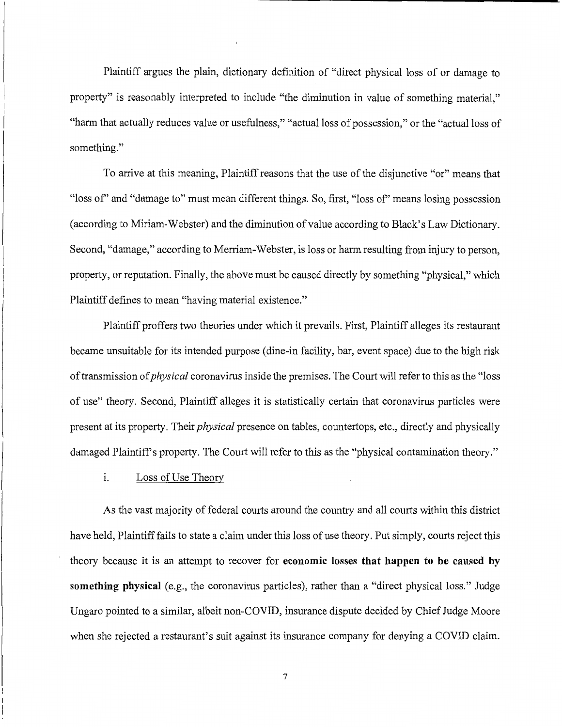Plaintiff argues the plain, dictionary definition of "direct physical loss of or damage to property" is reasonably interpreted to include "the diminution in value of something material," "harm that actually reduces value or usefulness," "actual loss of possession," or the "actual loss of something."

To arrive at this meaning, Plaintiff reasons that the use of the disjunctive "or" means that "loss of' and "damage to" must mean different things. So, first, "loss of' means losing possession ( according to Miriam-Webster) and the diminution of value according to Black's Law Dictionary. Second, "damage," according to Merriam-Webster, is loss or harm resulting from injury to person, property, or reputation. Finally, the above must be caused directly by something "physical," which Plaintiff defines to mean "having material existence."

Plaintiff proffers two theories under which it prevails. First, Plaintiff alleges its restaurant became unsuitable for its intended purpose (dine-in facility, bar, event space) due to the high risk of transmission of *physical* coronavirus inside the premises. The Court will refer to this as the "loss" of use" theory. Second, Plaintiff alleges it is statistically certain that coronavirus particles were present at its property. Their *physical* presence on tables, countertops, etc., directly and physically damaged Plaintiff's property. The Court will refer to this as the "physical contamination theory."

1. Loss of Use Theory

As the vast majority of federal courts around the country and all courts within this district have held, Plaintiff fails to state a claim under this loss of use theory. Put simply, courts reject this theory because it is an attempt to recover for **economic losses that happen to be caused by something physical** (e.g., the coronavirus particles), rather than a "direct physical loss." Judge Ungaro pointed to a similar, albeit non-COVID, insurance dispute decided by Chief Judge Moore when she rejected a restaurant's suit against its insurance company for denying a COVID claim.

7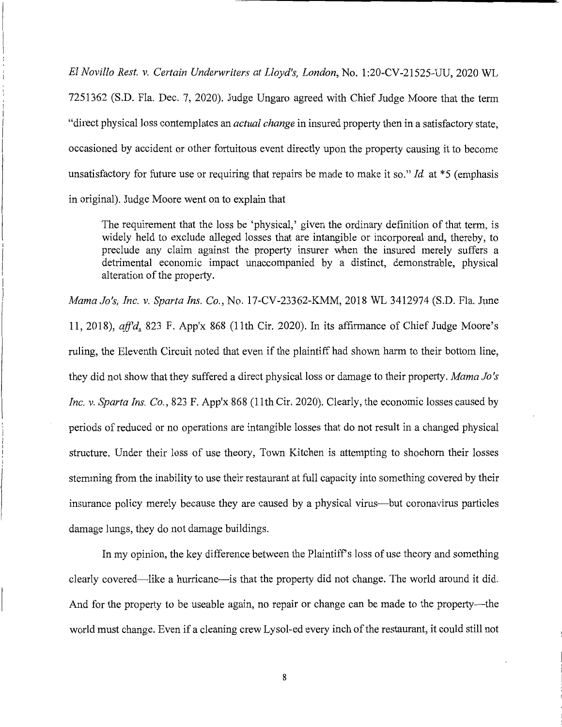*El Novillo Rest. v. Certain Underwriters at Lloyd's, London,* No. 1:20-CV-21525-UU, 2020 WL 7251362 (S.D. Fla. Dec. 7, 2020). Judge Ungaro agreed with Chief Judge Moore that the term "direct physical loss contemplates an *actual change* in insured property then in a satisfactory state, occasioned by accident or other fortuitous event directly upon the property causing it to become unsatisfactory for future use or requiring that repairs be made to make it so." *Id.* at \*5 (emphasis in original). Judge Moore went on to explain that

The requirement that the loss be 'physical,' given the ordinary definition of that term, is widely held to exclude alleged losses that are intangible or incorporeal and, thereby, to preclude any claim against the property insurer when the insured merely suffers a detrimental economic impact unaccompanied by a distinct, demonstrable, physical alteration of the property.

*Mama Jo's, Inc. v. Sparta Ins. Co.,* No. 17-CV-23362-KMM, 2018 WL 3412974 (S.D. Fla. June 11, 2018), *ajf'd.\_* 823 F. App'x 868 (11th Cir. 2020). In its affirmance of Chief Judge Moore's ruling, the Eleventh Circuit noted that even if the plaintiff had shown harm to their bottom line, they did not show that they suffered a direct physical loss or damage to their property. *Mama Jo's Inc. v. Sparta Ins. Co.*, 823 F. App'x 868 (11th Cir. 2020). Clearly, the economic losses caused by periods of reduced or no operations are intangible losses that do not result in a changed physical structure. Under their loss of use theory, Town Kitchen is attempting to shoehorn their losses stemming from the inability to use their restaurant at full capacity into something covered by their insurance policy merely because they are caused by a physical virus-but coronavirus particles damage lungs, they do not damage buildings.

In my opinion, the key difference between the Plaintiff's loss of use theory and something clearly covered—like a hurricane—is that the property did not change. The world around it did. And for the property to be useable again, no repair or change can be made to the property—the world must change. Even if a cleaning crew Lysol-ed every inch of the restaurant, it could still not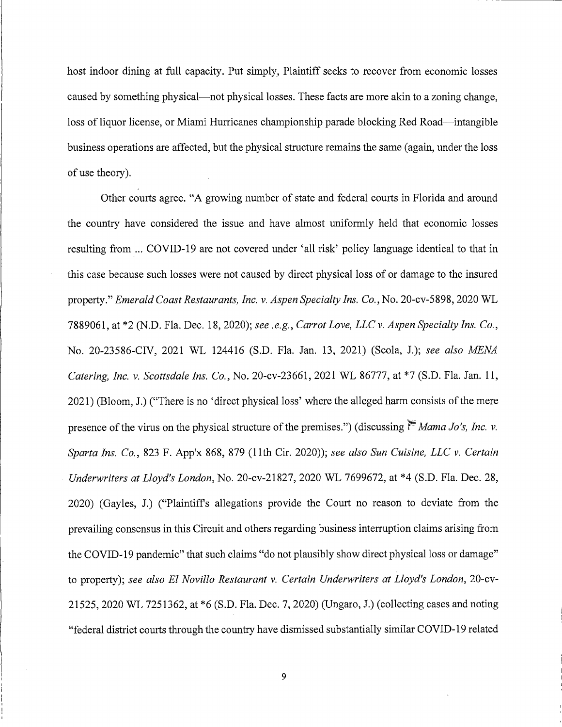host indoor dining at full capacity. Put simply, Plaintiff seeks to recover from economic losses caused by something physical—not physical losses. These facts are more akin to a zoning change, loss of liquor license, or Miami Hurricanes championship parade blocking Red Road—intangible business operations are affected, but the physical structure remains the same (again, under the loss of use theory).

Other courts agree. "A growing number of state and federal courts in Florida and around the country have considered the issue and have almost uniformly held that economic losses resulting from ... COVID-19 are not covered under 'all risk' policy language identical to that in this case because such losses were not caused by direct physical loss of or damage to the insured property." *Emerald Coast Restaurants, Inc. v. Aspen Specialty Ins. Co.,* No. 20-cv-5898, 2020 WL 7889061, at \*2 (N.D. Fla. Dec. 18, 2020); *see .e.g., Carrot Love, LLC v. Aspen Specialty Ins. Co.,*  No. 20-23586-CIV, 2021 WL 124416 (S.D. Fla. Jan. 13, 2021) (Scola, J.); *see also MENA Catering, Inc. v. Scottsdale Ins. Co.,* No. 20-cv-23661, 2021 WL 86777, at \*7 (S.D. Fla. Jan. 11, 2021) (Bloom, J.) ("There is no 'direct physical loss' where the alleged harm consists of the mere presence of the virus on the physical structure of the premises.") (discussing  $\sum_{n=1}^{\infty} M a_n a_j$  Jo's, Inc. v. *Sparta Ins. Co.,* 823 F. App'x 868, 879 (11th Cir. 2020)); *see also Sun Cuisine, LLC v. Certain Underwriters at Lloyd's London,* No. 20-cv-21827, 2020 WL 7699672, at \*4 (S.D. Fla. Dec. 28, 2020) (Gayles, J.) ("Plaintiffs allegations provide the Court no reason to deviate from the prevailing consensus in this Circuit and others regarding business interruption claims arising from the COVID-19 pandemic" that such claims "do not plausibly show direct physical loss or damage" to property); *see also El Novillo Restaurant v. Certain Underwriters at Lloyd's London,* 20-cv-21525, 2020 WL 7251362, at \*6 (S.D. Fla. Dec. 7, 2020) (Ungaro, J.) (collecting cases and noting "federal district courts through the country have dismissed substantially similar COVID-19 related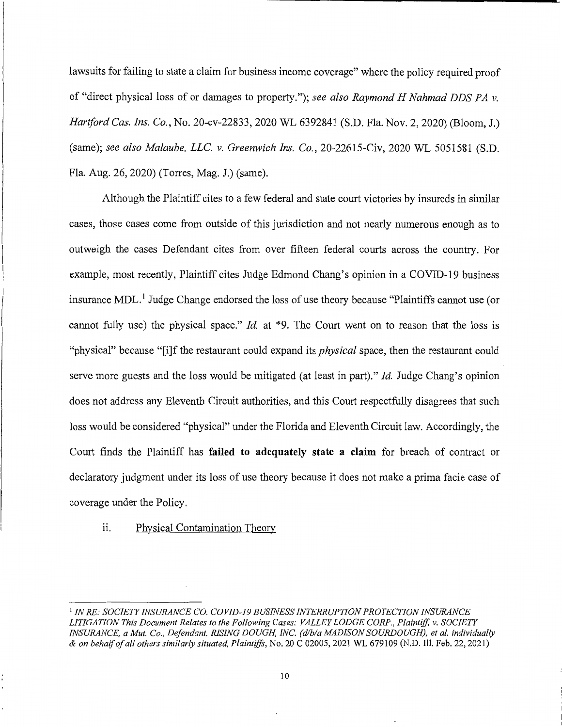lawsuits for failing to state a claim for business income coverage" where the policy required proof of "direct physical loss of or damages to property."); *see also Raymond H Nahmad DDS PA v. Hartford Cas. Ins. Co.,* No. 20-cv-22833, 2020 WL 6392841 (S.D. Fla. Nov. 2, 2020) (Bloom, J.) (same); *see also Malaube, LLC. v. Greenwich Ins. Co.,* 20-22615-Civ, 2020 WL 5051581 (S.D. Fla. Aug. 26, 2020) (Torres, Mag. J.) (same).

Although the Plaintiff cites to a few federal and state court victories by insureds in similar cases, those cases come from outside of this jurisdiction and not nearly numerous enough as to outweigh the cases Defendant cites from over fifteen federal courts across the country. For example, most recently, Plaintiff cites Judge Edmond Chang's opinion in a COVID-19 business insurance MDL.<sup>1</sup> Judge Change endorsed the loss of use theory because "Plaintiffs cannot use (or cannot fully use) the physical space." *Id.* at \*9. The Court went on to reason that the loss is "physical" because "[i]f the restaurant could expand its *physical* space, then the restaurant could serve more guests and the loss would be mitigated (at least in part)." *Id.* Judge Chang's opinion does not address any Eleventh Circuit authorities, and this Court respectfully disagrees that such loss would be considered "physical" under the Florida and Eleventh Circuit law. Accordingly, the Court finds the Plaintiff has **failed to adequately state a claim** for breach of contract or declaratory judgment under its loss of use theory because it does not make a prima facie case of coverage under the Policy.

## ii. Physical Contamination Theory

<sup>1</sup>*IN RE: SOCIETY INSURANCE* CO. *COVID-19 BUSINESS INTERRUPTION PROTECTION INSURANCE LITIGATION This Document Relates to the Following Cases: VALLEY LODGE CORP., Plaintiff, v. SOCIETY INSURANCE, a Mut. Co., Defendant. RISING DOUGH, INC. (dlb/a MADISON SOURDOUGH), et al. individually & on behalf of all others similarly situated, Plaintiffs,* No. 20 C 02005, 2021 WL 679109 (N.D. Ill. Feb. 22, 2021)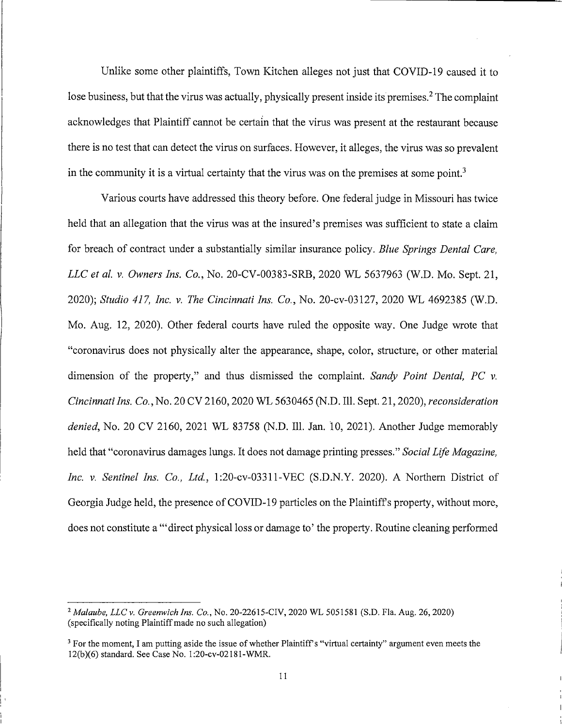Unlike some other plaintiffs, Town Kitchen alleges not just that COVID-19 caused it to lose business, but that the virus was actually, physically present inside its premises.<sup>2</sup> The complaint acknowledges that Plaintiff cannot be certain that the virus was present at the restaurant because there is no test that can detect the virus on surfaces. However, it alleges, the virus was so prevalent in the community it is a virtual certainty that the virus was on the premises at some point.<sup>3</sup>

Various courts have addressed this theory before. One federal judge in Missouri has twice held that an allegation that the virus was at the insured's premises was sufficient to state a claim for breach of contract under a substantially similar insurance policy. *Blue Springs Dental Care, LLC et al. v. Owners Ins. Co.,* No. 20-CV-00383-SRB, 2020 WL 5637963 (W.D. Mo. Sept. 21, 2020); *Studio 417, Inc. v. The Cincinnati Ins. Co.,* No. 20-cv-03127, 2020 WL 4692385 (W.D. Mo. Aug. 12, 2020). Other federal courts have ruled the opposite way. One Judge wrote that "coronavirus does not physically alter the appearance, shape, color, structure, or other material dimension of the property," and thus dismissed the complaint. *Sandy Point Dental, PC v. Cincinnati Ins. Co.,* No. 20 CV 2160, 2020 WL 5630465 (N.D. Ill. Sept. 21, 2020), *reconsideration denied,* No. 20 CV 2160, 2021 WL 83758 (N.D. Ill. Jan. to, 2021). Another Judge memorably held that "coronavirus damages lungs. It does not damage printing presses." *Social Life Magazine, Inc. v. Sentinel Ins. Co., Ltd.,* 1:20-cv-03311-VEC (S.D.N.Y. 2020). A Northern District of Georgia Judge held, the presence of COVID-19 particles on the Plaintiffs property, without more, does not constitute a '"direct physical loss or damage to' the property. Routine cleaning performed

I I'

<sup>2</sup>*Malaube, LLC v. Greenwich Ins. Co.,* No. 20-22615-CIV, 2020 WL 5051581 (S.D. Fla. Aug. 26, 2020) (specifically noting Plaintiff made no such allegation)

 $3$  For the moment, I am putting aside the issue of whether Plaintiff's "virtual certainty" argument even meets the 12(b)(6) standard. See Case No. l:20-cv-02181-WMR.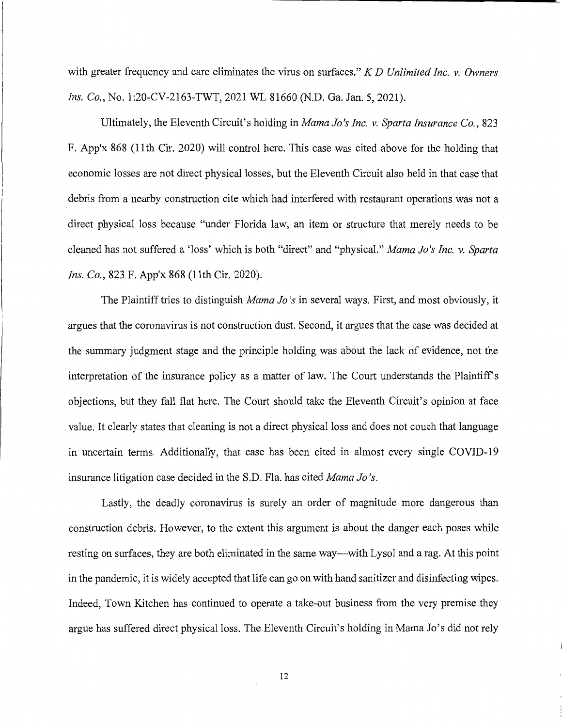with greater frequency and care eliminates the virus on surfaces." *K D Unlimited Inc. v. Owners Ins. Co.,* No. 1:20-CV-2163-TWT, 2021 WL 81660 (N.D. Ga. Jan. 5, 2021).

Ultimately, the Eleventh Circuit's holding in *Mama Jo's Inc. v. Sparta Insurance Co.,* 823 F. App'x 868 (11th Cir. 2020) will control here. This case was cited above for the holding that economic losses are not direct physical losses, but the Eleventh Circuit also held in that case that debris from a nearby construction cite which had interfered with restaurant operations was not a direct physical loss because "under Florida law, an item or structure that merely needs to be cleaned has not suffered a 'loss' which is both "direct" and "physical." *Mama Jo's Inc. v. Sparta Ins. Co.,* 823 F. App'x 868 (11th Cir. 2020).

The Plaintiff tries to distinguish *Mama Jo's* in several ways. First, and most obviously, it argues that the coronavirus is not construction dust. Second, it argues that the case was decided at the summary judgment stage and the principle holding was about the lack of evidence, not the interpretation of the insurance policy as a matter of law. The Court understands the Plaintiff's objections, but they fall flat here. The Court should take the Eleventh Circuit's opinion at face value. It clearly states that cleaning is not a direct physical loss and does not couch that language in uncertain terms. Additionally, that case has been cited in almost every single COVID-19 insurance litigation case decided in the S.D. Fla. has cited *Mama Jo's.* 

Lastly, the deadly coronavirus is surely an order of magnitude more dangerous than construction debris. However, to the extent this argument is about the danger each poses while resting on surfaces, they are both eliminated in the same way—with Lysol and a rag. At this point in the pandemic, it is widely accepted that life can go on with hand sanitizer and disinfecting wipes. Indeed, Town Kitchen has continued to operate a take-out business from the very premise they argue has suffered direct physical loss. The Eleventh Circuit's holding in Mama Jo's did not rely

12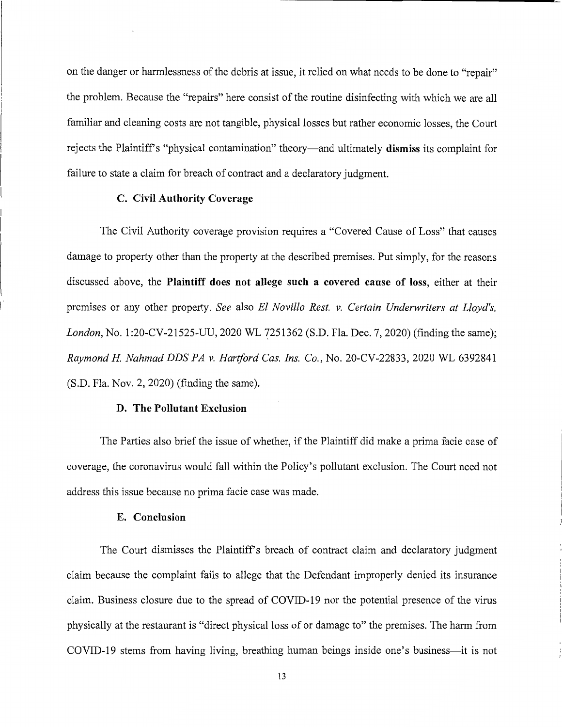on the danger or harmlessness of the debris at issue, it relied on what needs to be done to "repair" the problem. Because the "repairs" here consist of the routine disinfecting with which we are all familiar and cleaning costs are not tangible, physical losses but rather economic losses, the Court rejects the Plaintiffs "physical contamination" theory-and ultimately **dismiss** its complaint for failure to state a claim for breach of contract and a declaratory judgment.

## **C. Civil Authority Coverage**

The Civil Authority coverage provision requires a "Covered Cause of Loss" that causes damage to property other than the property at the described premises. Put simply, for the reasons discussed above, the **Plaintiff does not allege such a covered cause of loss,** either at their premises or any other property. *See* also *El Novillo Rest. v. Certain Underwriters at Lloyd's, London, No.* 1:20-CV-21525-UU, 2020 WL 7251362 (S.D. Fla. Dec. 7, 2020) (finding the same); *Raymond H Nahmad DDS PA v. Hartford Cas. Ins. Co.,* No. 20-CV-22833, 2020 WL 6392841 (S.D. Fla. Nov. 2, 2020) (finding the same).

#### **D. The Pollutant Exclusion**

The Parties also brief the issue of whether, if the Plaintiff did make a prima facie case of coverage, the coronavirus would fall within the Policy's pollutant exclusion. The Court need not address this issue because no prima facie case was made.

#### **E. Conclusion**

I

The Court dismisses the Plaintiff's breach of contract claim and declaratory judgment claim because the complaint fails to allege that the Defendant improperly denied its insurance claim. Business closure due to the spread of COVID-19 nor the potential presence of the virus physically at the restaurant is "direct physical loss of or damage to" the premises. The harm from COVID-19 stems from having living, breathing human beings inside one's business—it is not